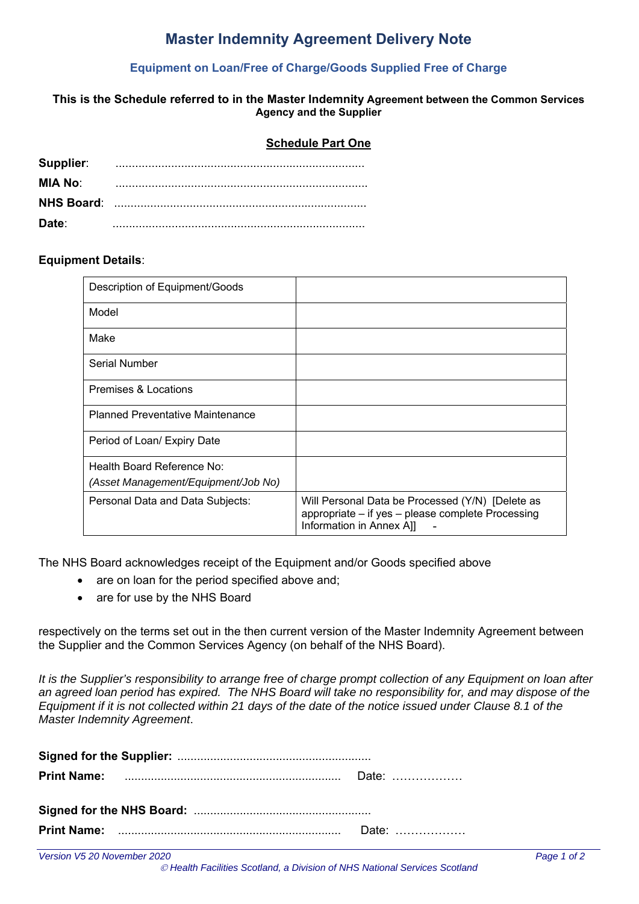### **Master Indemnity Agreement Delivery Note**

#### **Equipment on Loan/Free of Charge/Goods Supplied Free of Charge**

#### **This is the Schedule referred to in the Master Indemnity Agreement between the Common Services Agency and the Supplier**

#### **Schedule Part One**

| Supplier: |  |
|-----------|--|
| MIA No:   |  |
|           |  |
| Date:     |  |

#### **Equipment Details**:

| Description of Equipment/Goods          |                                                                                                                                   |
|-----------------------------------------|-----------------------------------------------------------------------------------------------------------------------------------|
| Model                                   |                                                                                                                                   |
| Make                                    |                                                                                                                                   |
| Serial Number                           |                                                                                                                                   |
| Premises & Locations                    |                                                                                                                                   |
| <b>Planned Preventative Maintenance</b> |                                                                                                                                   |
| Period of Loan/ Expiry Date             |                                                                                                                                   |
| Health Board Reference No:              |                                                                                                                                   |
| (Asset Management/Equipment/Job No)     |                                                                                                                                   |
| Personal Data and Data Subjects:        | Will Personal Data be Processed (Y/N) [Delete as<br>appropriate - if yes - please complete Processing<br>Information in Annex All |

The NHS Board acknowledges receipt of the Equipment and/or Goods specified above

- are on loan for the period specified above and;
- are for use by the NHS Board

respectively on the terms set out in the then current version of the Master Indemnity Agreement between the Supplier and the Common Services Agency (on behalf of the NHS Board).

*It is the Supplier's responsibility to arrange free of charge prompt collection of any Equipment on loan after an agreed loan period has expired. The NHS Board will take no responsibility for, and may dispose of the Equipment if it is not collected within 21 days of the date of the notice issued under Clause 8.1 of the Master Indemnity Agreement*.

|  | Date: |  |  |
|--|-------|--|--|
|  |       |  |  |
|  | Date: |  |  |

 *Health Facilities Scotland, a Division of NHS National Services Scotland*